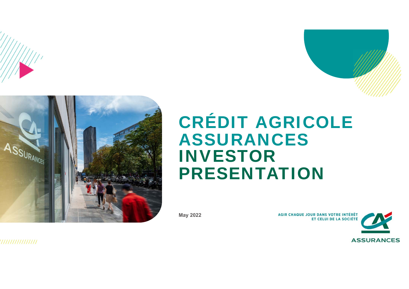



# CRÉDIT AGRICOLE ASSURANCES INVESTOR PRESENTATION

**May 2022**

AGIR CHAQUE JOUR DANS VOTRE INTÉRÊT<br>ET CELUI DE LA SOCIÉTÉ

,,,,,,,,,,,,,,,,,

**ASSURANCES**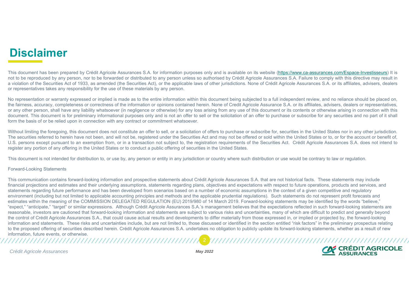## **Disclaimer**

This document has been prepared by Crédit Agricole Assurances S.A. for information purposes only and is available on its website (https://www.ca-assurances.com/Espace-Investisseurs) It is not to be reproduced by any person, nor to be forwarded or distributed to any person unless so authorised by Crédit Agricole Assurances S.A. Failure to comply with this directive may result in <sup>a</sup> violation of the Securities Act of 1933, as amended (the Securities Act), or the applicable laws of other jurisdictions. None of Crédit Agricole Assurances S.A. or its affiliates, advisers, dealers or representatives takes any responsibility for the use of these materials by any person.

No representation or warranty expressed or implied is made as to the entire information within this document being subjected to a full independent review, and no reliance should be placed on, the fairness, accuracy, completeness or correctness of the information or opinions contained herein. None of Credit Agricole Assurance S.A. or its affiliates, advisers, dealers or representatives, or any other person, shall have any liability whatsoever (in negligence or otherwise) for any loss arising from any use of this document or its contents or otherwise arising in connection with this document. This document is for preliminary informational purposes only and is not an offer to sell or the solicitation of an offer to purchase or subscribe for any securities and no part of it shall form the basis of or be relied upon in connection with any contract or commitment whatsoever.

Without limiting the foregoing, this document does not constitute an offer to sell, or a solicitation of offers to purchase or subscribe for, securities in the United States nor in any other jurisdiction. The securities referred to herein have not been, and will not be, registered under the Securities Act and may not be offered or sold within the United States or to, or for the account or benefit of, U.S. persons except pursuant to an exemption from, or in <sup>a</sup> transaction not subject to, the registration requirements of the Securities Act. Crédit Agricole Assurances S.A. does not intend to register any portion of any offering in the United States or to conduct <sup>a</sup> public offering of securities in the United States.

This document is not intended for distribution to, or use by, any person or entity in any jurisdiction or country where such distribution or use would be contrary to law or regulation.

#### Forward-Looking Statements

This communication contains forward-looking information and prospective statements about Crédit Agricole Assurances S.A. that are not historical facts. These statements may include financial projections and estimates and their underlying assumptions, statements regarding plans, objectives and expectations with respect to future operations, products and services, and statements regarding future performance and has been developed from scenarios based on a number of economic assumptions in the context of a given competitive and regulatory environment (including but not limited to applicable accounting principles and methods and the applicable prudential regulations). Such statements do not represent profit forecasts and estimates within the meaning of the COMMISSION DELEGATED REGULATION (EU) 2019/980 of 14 March 2019. Forward-looking statements may be identified by the words "believe," "expect," "anticipate," "target" or similar expressions. Although Crédit Agricole Assurances S.A.'s management believes that the expectations reflected in such forward-looking statements are reasonable, investors are cautioned that forward-looking information and statements are subject to various risks and uncertainties, many of which are difficult to predict and generally beyond the control of Crédit Agricole Assurances S.A., that could cause actual results and developments to differ materially from those expressed in, or implied or projected by, the forward-looking information and statements. These risks and uncertainties include, but are not limited to, those discussed or identified in the section entitled "risk factors" in the preliminary prospectus relating to the proposed offering of securities described herein. Crédit Agricole Assurances S.A. undertakes no obligation to publicly update its forward-looking statements, whether as a result of new information, future events, or otherwise. 2

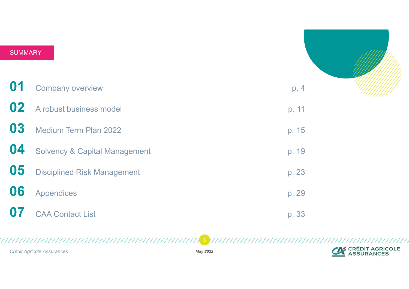| <b>SUMMARY</b> |                                          |       |  |
|----------------|------------------------------------------|-------|--|
|                |                                          |       |  |
| 01             | <b>Company overview</b>                  | p. 4  |  |
| 02             | A robust business model                  | p. 11 |  |
| 03             | Medium Term Plan 2022                    | p. 15 |  |
| 04             | <b>Solvency &amp; Capital Management</b> | p. 19 |  |
| 05             | <b>Disciplined Risk Management</b>       | p. 23 |  |
| 06             | <b>Appendices</b>                        | p. 29 |  |
| 07             | <b>CAA Contact List</b>                  | p. 33 |  |

*Crédit Agricole Assurances*

*May 2022*

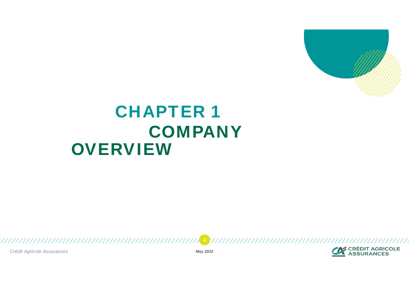

# **CHAPTER** COMPANY **OVERVIEW**

*Crédit Agricole Assurances May 2022*

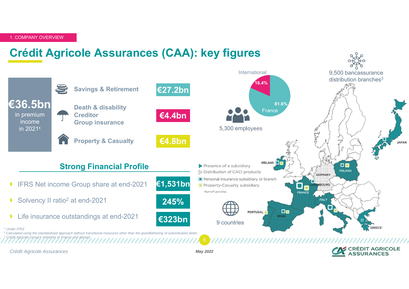## **Crédit Agricole Assurances (CAA): key figures**

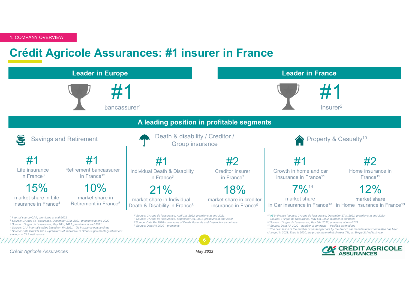### **Crédit Agricole Assurances: #1 insurer in France**

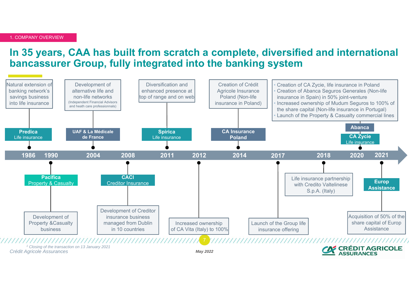#### **In 35 years, CAA has built from scratch a complete, diversified and international bancassurer Group, fully integrated into the banking system**

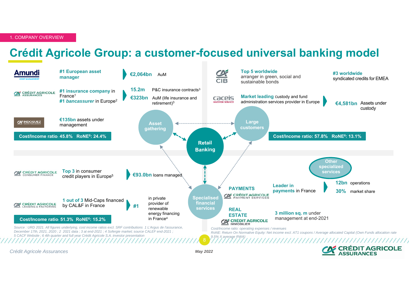#### **Crédit Agricole Group: a customer-focused universal banking model**



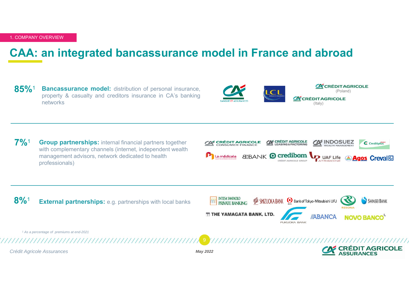#### **CAA: an integrated bancassurance model in France and abroad**

**85%**<sup>1</sup> **Bancassurance model:** distribution of personal insurance, property & casualty and creditors insurance in CA's banking networks



**7%**<sup>1</sup> **Group partnerships:** internal financial partners together with complementary channels (internet, independent wealth management advisors, network dedicated to health professionals)



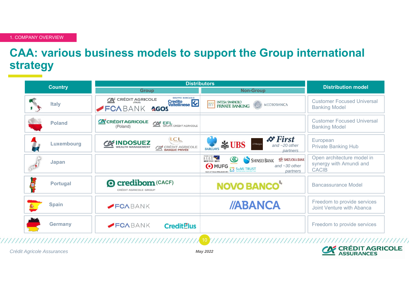## **CAA: various business models to support the Group international strategy**

| <b>Country</b> |                 | <b>Distributors</b>                                                                                                             | <b>Distribution model</b>                                                                                                                                                          |                                                                       |
|----------------|-----------------|---------------------------------------------------------------------------------------------------------------------------------|------------------------------------------------------------------------------------------------------------------------------------------------------------------------------------|-----------------------------------------------------------------------|
|                |                 | <b>Group</b>                                                                                                                    | <b>Non-Group</b>                                                                                                                                                                   |                                                                       |
|                | <b>Italy</b>    | <b>GRUPPO BANCARIO</b><br><b>WE CRÉDIT AGRICOLE</b><br>Credito<br>Valtellinese<br>FCABANK AGOS                                  | <b>INTESA SANPAOLO</b><br>nnr<br>MEDIOBANCA<br><b>PRIVATE BANKING</b>                                                                                                              | <b>Customer Focused Universal</b><br><b>Banking Model</b>             |
|                | <b>Poland</b>   | <b>CE CRÉDITAGRICOLE</b><br><b>COM</b> EFL<br>GRUPA CRÉDIT AGRICOLE<br>(Poland)                                                 |                                                                                                                                                                                    | <b>Customer Focused Universal</b><br><b>Banking Model</b>             |
|                | Luxembourg      | LCL.<br>$\underbrace{\text{C}}{\mathbf{W}}\underbrace{\text{INDOSUEZ}}_{\text{WEALTH MANAGEMENT}}$<br><b>CA CRÉDIT AGRICOLE</b> | $\mathcal{L}$ First<br>J.P.Morgan<br><b>SS UBS</b><br>and $~20$ other<br><b>BARCLAYS</b><br>partners                                                                               | European<br><b>Private Banking Hub</b>                                |
|                | Japan           |                                                                                                                                 | <b>STAR</b><br>$\bigcircled{\mathbb{R}}$<br>SHIZUOKA BANK<br>SHINSEI BANK<br>中空スター銀行<br><b>O</b> MUFG<br>and $~50$ other<br>SuMi TRUST<br>partners<br>Bank of Tokyo-Mitsubishi UFJ | Open architecture model in<br>synergy with Amundi and<br><b>CACIB</b> |
| 传              | <b>Portugal</b> | <b>Q credibom (CACF)</b><br>CREDIT AGRICOLE GROUP                                                                               | <b>NOVO BANCO</b>                                                                                                                                                                  | <b>Bancassurance Model</b>                                            |
|                | <b>Spain</b>    | FCABANK                                                                                                                         | //ABANCA                                                                                                                                                                           | Freedom to provide services<br>Joint Venture with Abanca              |
|                | <b>Germany</b>  | FCABANK<br><b>Credit<sup>P</sup>lus</b>                                                                                         | --                                                                                                                                                                                 | Freedom to provide services                                           |

*Crédit Agricole Assurances May 2022*

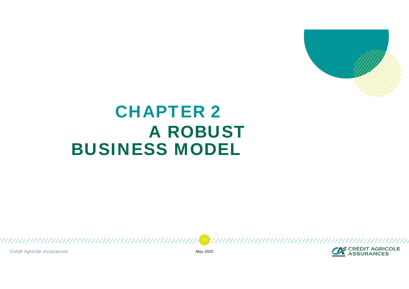

# **CHAPTER 2** A ROBUST BUSINESS MODEL

*Crédit Agricole Assurances May 2022*

11



,,,,,,,,,,,,,,,,,,,,,,,,,,,,,,,,,,,,,,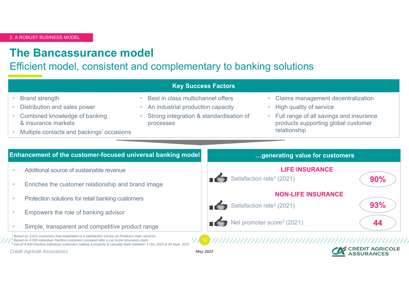#### **The Bancassurance model**

Efficient model, consistent and complementary to banking solutions

|                                                                                        | <b>Key Success Factors</b>                                                                                        |                                                                                                |  |
|----------------------------------------------------------------------------------------|-------------------------------------------------------------------------------------------------------------------|------------------------------------------------------------------------------------------------|--|
| <b>Brand strength</b><br>Distribution and sales power<br>Combined knowledge of banking | Best in class multichannel offers<br>An industrial production capacity<br>Strong integration & standardisation of |                                                                                                |  |
| & insurance markets<br>Multiple contacts and backings' occasions                       | processes                                                                                                         | Full range of all savings and insurance<br>products supporting global customer<br>relationship |  |
| Enhancement of the customer-focused universal banking model                            |                                                                                                                   | generating value for customers                                                                 |  |
| Additional source of sustainable revenue                                               |                                                                                                                   | <b>LIFE INSURANCE</b>                                                                          |  |
| Enriches the customer relationship and brand image                                     |                                                                                                                   | Satisfaction rate <sup>1</sup> (2021)<br>90%                                                   |  |

- × Protection solutions for retail banking customers
- × Empowers the role of banking advisor
- × Simple, transparent and competitive product range

 $^1$  Based on 3,621 customers that responded to a satisfaction survey on Predica's main services<br> $^2$  Based on 4,500 individual Positica sustances surveyed after a car hame insurance claim  $^2$  Based on 4,500 individual Pacifica customers surveyed after a car home insurance claim 3 Out of 4,500 Pacifica individual customers making a property & casualty claim between 1 Oct. 2020 & 30 Sept. 2021

*Crédit Agricole Assurances May 2022*

12



**93%**

**44**

**NON-LIFE INSURANCE**

///////////////

Satisfaction rate<sup>2</sup> (2021)

Net promoter score<sup>3</sup> (2021)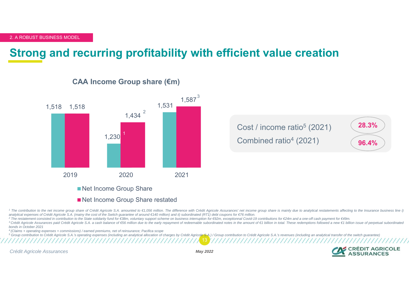## **Strong and recurring profitability with efficient value creatio n**



#### **CAA Income Group share (€m)**

Net Income Group Share restated

1 The contribution to the net income group share of Crédit Agricole S.A. amounted to €1,056 million. The difference with Crédit Agricole Assurances' net income group share is mainly due to analytical restatements affectin analytical expenses of Crédit Agricole S.A. (mainy the cost of the Switch quarantee of around €140 million) and ii) subordinated (RT1) debt coupons for €76 million.

<sup>2</sup> The restatement consisted in contribution to the State solidarity fund for €38m, voluntary support scheme on business interruption for €92m, exceptionnal Covid-19 contributions for €24m and a one-off cash payment for

<sup>3</sup> Crédit Agricole Assurances paid Crédit Agricole S.A. a cash balance of €56 million due to the early repayment of redeemable subordinated notes in the amount of €1 billion in total. These redemptions followed a new €1 *bonds in October 2021*

4 (Claims + operating expenses + commissions) / earned premiums, net of reinsurance; Pacifica scope

13<sup>5</sup> Group contribution to Crédit Agricole S.A.'s operating expenses (including an analytical allocation of charges by Crédit Agricole S.A.) / Group contribution to Crédit Agricole S.A.'s revenues (including an analytical t

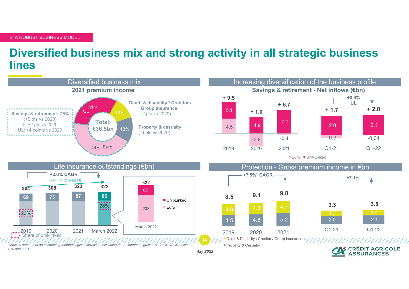### **Diversified business mix and strong activity in all strategic business lines**

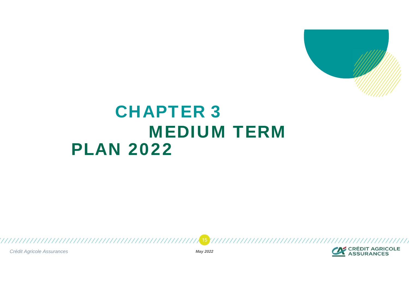

## **CHAPTER 3** MEDIUM TERM PLAN 2022

*Crédit Agricole Assurances May 2022*

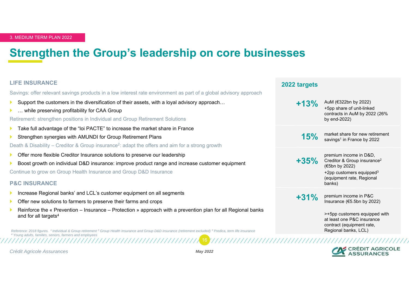### **Strengthen the Group's leadership on core businesses**

#### **LIFE INSURANCE**

Savings: offer relevant savings products in a low interest rate environment as part of a global advisory approach

- Þ Support the customers in the diversification of their assets, with a loyal advisory approach…
- ▶ … while preserving profitability for CAA Group

Retirement: strengthen positions in Individual and Group Retirement Solutions

- Þ Take full advantage of the "loi PACTE" to increase the market share in France
- Þ Strengthen synergies with AMUNDI for Group Retirement Plans

Death & Disability – Creditor & Group insurance<sup>2</sup>: adapt the offers and aim for a strong growth

- Þ Offer more flexible Creditor Insurance solutions to preserve our leadership
- Þ Boost growth on individual D&D insurance: improve product range and increase customer equipment

Continue to grow on Group Health Insurance and Group D&D Insurance

#### **P&C INSURANCE**

Þ Increase Regional banks' and LCL's customer equipment on all segments

- Þ Offer new solutions to farmers to preserve their farms and crops
- Þ Reinforce the « Prevention – Insurance – Protection » approach with a prevention plan for all Regional banks and for all targets<sup>4</sup>

Reference: 2018 figures. <sup>1</sup> Individual & Group retirement <sup>2</sup> Group Health Insurance and Group D&D insurance (retirement excluded) <sup>3</sup> Predica, term life insurance *4 Young adults, families, seniors, farmers and employees*

#### premium income in D&D, **+35%**Creditor & Group insurance2 (€5bn by 2022)  $+2$ pp customers equipped $3$ (equipment rate, Regional banks) **+31%**premium income in P&C<br>Insurance (€5.5bn by 2022) >+5pp customers equipped with at least one P&C insurance contract (equipment rate, **CRÉDIT AGRICOLE**

market share for new retirement

+5pp share of unit-linked contracts in AuM by 2022 (26%

**15%** market share for new retirer

by end-2022)

**+13%** AuM (€322bn by 2022)

**2022 targets**

*Crédit Agricole Assurances May 2022*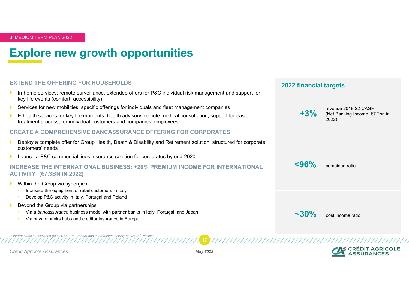## **Explore new growth opportunities**

#### **EXTEND THE OFFERING FOR HOUSEHOLDS**

- Þ In-home services: remote surveillance, extended offers for P&C individual risk management and support for key life events (comfort, accessibility)
- Þ Services for new mobilities: specific offerings for individuals and fleet management companies
- Þ E-health services for key life moments: health advisory, remote medical consultation, support for easier treatment process, for individual customers and companies' employees

#### **CREATE A COMPREHENSIVE BANCASSURANCE OFFERING FOR CORPORATES**

- Þ Deploy a complete offer for Group Health, Death & Disability and Retirement solution, structured for corporate customers' needs
- Þ Launch a P&C commercial lines insurance solution for corporates by end-2020

#### **INCREASE THE INTERNATIONAL BUSINESS: +20% PREMIUM INCOME FOR INTERNATIONAL ACTIVITY1 (€7.3BN IN 2022)**

- Þ Within the Group via synergies
	- •Increase the equipment of retail customers in Italy
	- •Develop P&C activity in Italy, Portugal and Poland
- Þ Beyond the Group via partnerships
	- •Via a *bancassurance* business model with partner banks in Italy, Portugal, and Japan

*1 International subsidiaries (excl. CALIE in France) and international activity of CACI; 2 Pacifica*

•Via private banks hubs and creditor insurance in Europe





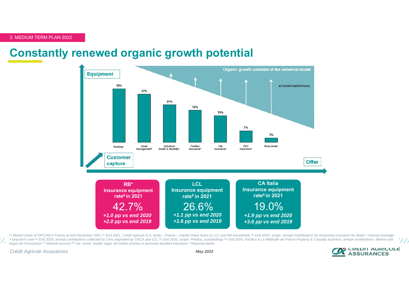#### **Constantly renewed organic growth potential**



+ long-term care <sup>(4)</sup> End 2020, annual contributions collected by CAA originated by CRCA and LCL <sup>(5)</sup> End 2020, scope: Prédica, outstandings <sup>(6)</sup> End 2020, Pacifica & La Médicale de France Property & Casualty business, *Argus de l'Assurance (7) Internal sources (8) Car, home, health, legal, all mobile phones or personal accident insurance \* Regional banks*(1) Market share of OPCVM in France at end December 2021<sup>(2)</sup> End 2021, Crédit Agricole S.A. study - France - market share loans to LCL and RB households (3) End 2020, scope: annual contributions for temporary insurance fo

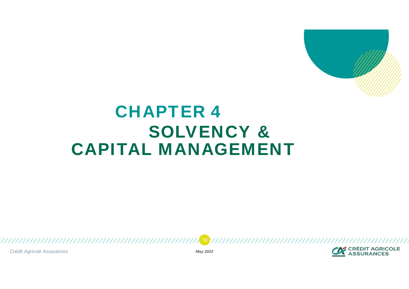

# **CHAPTER 4** SOLVENCY & CAPITAL MANAGEMENT

*Crédit Agricole Assurances May 2022*

19



,,,,,,,,,,,,,,,,,,,,,,,,,,,,,,,,,,,,,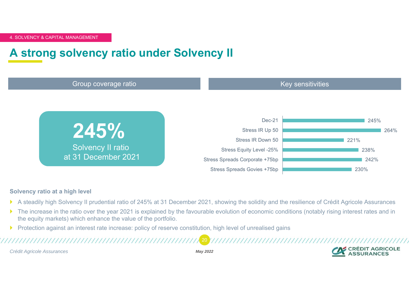### **A strong solvency ratio under Solvency II**



#### **Solvency ratio at a high level**

- $\blacktriangleright$ A steadily high Solvency II prudential ratio of 245% at 31 December 2021, showing the solidity and the resilience of Crédit Agricole Assurances
- $\blacktriangleright$  The increase in the ratio over the year 2021 is explained by the favourable evolution of economic conditions (notably rising interest rates and in the equity markets) which enhance the value of the portfolio.
- $\blacktriangleright$ Protection against an interest rate increase: policy of reserve constitution, high level of unrealised gains

*Crédit Agricole Assurances May 2022*

20

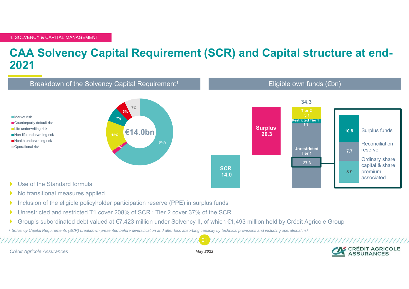### **CAA Solvency Capital Requirement (SCR) and Capital structure at end-2021**



- $\blacktriangleright$ No transitional measures applied
- $\blacktriangleright$ Inclusion of the eligible policyholder participation reserve (PPE) in surplus funds
- $\blacktriangleright$ Unrestricted and restricted T1 cover 208% of SCR ; Tier 2 cover 37% of the SCR

,,,,,,,,,,,,,,,,,,,,,,,,,,,,,,,,,,

Þ Group's subordinated debt valued at €7,423 million under Solvency II, of which €1,493 million held by Crédit Agricole Group

*1 Solvency Capital Requirements (SCR) breakdown presented before diversification and after loss absorbing capacity by technical provisions and including operational risk*

*Crédit Agricole Assurances May 2022*

21

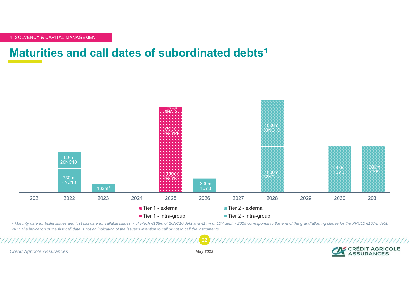#### **Maturities and call dates of subordinated debts 1**



1 Maturity date for bullet issues and first call date for callable issues; 2 of which €168m of 20NC10 debt and €14m of 10Y debt; 3 2025 corresponds to the end of the grandfathering clause for the PNC10 €107m debt. *NB : The indication of the first call date is not an indication of the issuer's intention to call or not to call the instruments*

*Crédit Agricole Assurances May 2022*

22

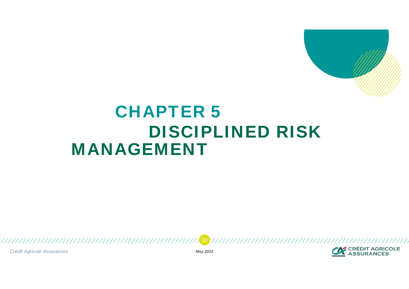

## **CHAPTER 5** DISCIPLINED RISK MANAGEMENT

*Crédit Agricole Assurances May 2022*

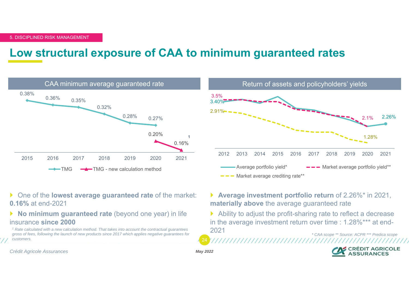#### **Low structural exposure of CAA to minimum guaranteed rates**





- One of the **lowest average guaranteed rate** of the market: **0.16%** at end-2021
- **No minimum guaranteed rate** (beyond one year) in life insurance **since 2000**

*1 Rate calculated with a new calculation method. That takes into account the contractual guarantees gross of fees, following the launch of new products since 2017 which applies negative guarantees for customers.*

- **Average investment portfolio return** of 2.26%\* in 2021, **materially above** the average guaranteed rate
- Ability to adjust the profit-sharing rate to reflect a decrease in the average investment return over time : 1.28%\*\*\* at end-2021*\* CAA scope \*\* Source: ACPR \*\*\* Predica scope*

*Crédit Agricole Assurances May 2022*

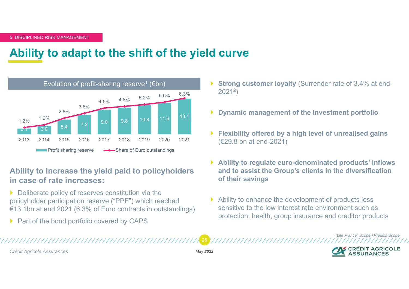### **Ability to adapt to the shift of the yield curve**



#### **Ability to increase the yield paid to policyholders in case of rate increases:**

- $\blacktriangleright$  Deliberate policy of reserves constitution via the policyholder participation reserve ("PPE") which reached €13.1bn at end 2021 (6.3% of Euro contracts in outstandings)
- **Part of the bond portfolio covered by CAPS**
- $\blacktriangleright$ **Strong customer loyalty (Surrender rate of 3.4% at end-**20212)
- **Dynamic management of the investment portfolio**
- $\blacktriangleright$  **Flexibility offered by a high level of unrealised gains**  (€29.8 bn at end-2021)
- $\blacktriangleright$  **Ability to regulate euro-denominated products' inflows and to assist the Group's clients in the diversification of their savings**
- $\blacktriangleright$  Ability to enhance the development of products less sensitive to the low interest rate environment such as protection, health, group insurance and creditor products

*Crédit Agricole Assurances May 2022*

25



1 *"Life France" Scope* 2 *Predica Scope*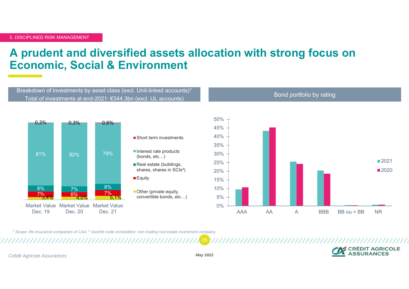### **A prudent and diversified assets allocation with strong focus on Economic, Social & Environment**



1 *Scope: life insurance companies of CAA;* <sup>2</sup> *Société civile immobilière: non-trading real estate investment company;* 

CRÉDIT AGRICOLE

*Crédit Agricole Assurances May 2022*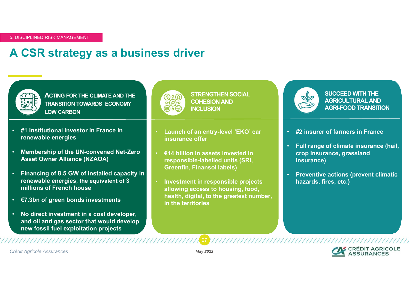## **A CSR strategy as a business driver**



**ACTING FOR THE CLIMATE AND THE TRANSITION TOWARDS ECONOMY LOW CARBON**

- • **#1 institutional investor in France in renewable energies**
- **Membership of the UN-convened Net-Zero Asset Owner Alliance (NZAOA)**
- **Financing of 8.5 GW of installed capacity in renewable energies, the equivalent of 3 millions of French house**
- **€7.3bn of green bonds investments**
- **No direct investment in a coal developer, and oil and gas sector that would develop new fossil fuel exploitation projects**



**STRENGTHEN SOCIAL COHESION AND INCLUSION** 

- **Launch of an entry-level 'EKO' car insurance offer**
- **€14 billion in assets invested in responsible-labelled units (SRI, Greenfin, Finansol labels)**
- **Investment in responsible projects allowing access to housing, food, health, digital, to the greatest number, in the territories**



,,,,,,,,,,,,,,,,,,,,,,,,,,,,,,,,,,

**SUCCEED WITH THE AGRICULTURAL AND AGRI-FOOD TRANSITION** 

- **#2 insurer of farmers in France**
- **Full range of climate insurance (hail, crop insurance, grassland insurance)**
- **Preventive actions (prevent climatic hazards, fires, etc.)**



*Crédit Agricole Assurances May 2022*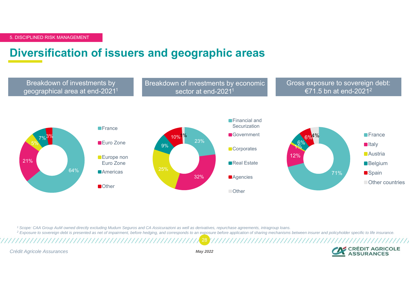### **Diversification of issuers and geographic areas**



*1 Scope: CAA Group AuM owned directly excluding Mudum Seguros and CA Assicurazioni as well as derivatives, repurchase agreements, intragroup loans.*

28 $^2$  Exposure to sovereign debt is presented as net of impairment, before hedging, and corresponds to an exposure before application of sharing mechanisms between insurer and policyholder specific to life insurance.

*Crédit Agricole Assurances May 2022*

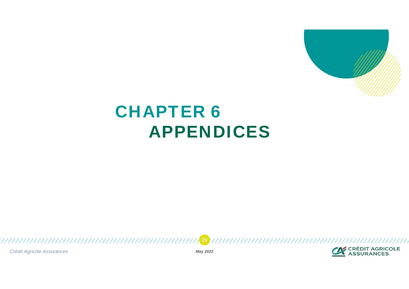

# **CHAPTER 6** APPENDICES



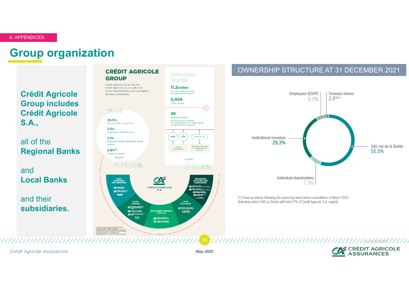#### 6. APPENDICES

#### **Group organization**

**Crédit Agricole Group includes Crédit Agricole S.A.,** 

all of the **Regional Banks** 

and**Local Banks** 

and their **subsidiaries.**



**FLOAT** 

29,3% INSTITUTIONAL INVESTORS

7.3%

INDIVIDUAL SHAREHOLDERS 5.1% EMPLOYEE SHARE OWNERSHIP PLANS

(ESOPS)  $2.8%^{(1)}$ 

**TREASURY SHARES HOLDING** 



LOCAL BANKS

**REGIONAL BANKS** 

jointly holding the majority<br>of Crédit Agricole S.A.'s share capital

through SAS Rue la Boétie<sup>(2)</sup>

 $25%$ 

39

100%

.<br>V

**Political link** 

#### OWNERSHIP STRUCTURE AT 31 DECEMBER 2021



(1) Treasury shares following the share buy back before cancellation in March 2022 (following which SAS La Boetie will hold 57% of Credit Agricole S.A. capital)

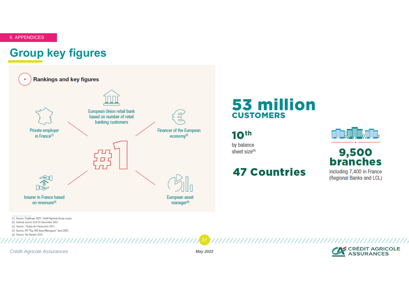6. APPENDICES

### **Group key figures**



## 53 million **CUSTOMERS**

#### $10<sup>th</sup>$

by balance sheet size(5)

#### **47 Countries**



# 9,500<br>branches

including 7,400 in France (Regional Banks and LCL)

(2) Internal source: ECO 31 December 2021.

(3) Source: L'Argus de l'Assurance 2021.

(4) Source: IPE "Top 500 Asset Managers" June 2021.

(5) Source: The Banker 2021.

*Crédit Agricole Assurances May 2022*

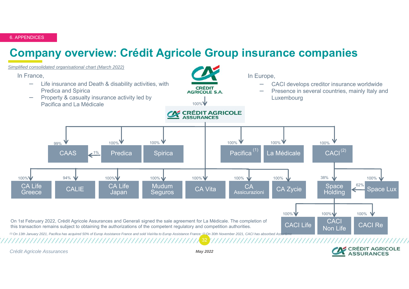6. APPENDICES

## **Company overview: Crédit Agricole Group insurance companies**



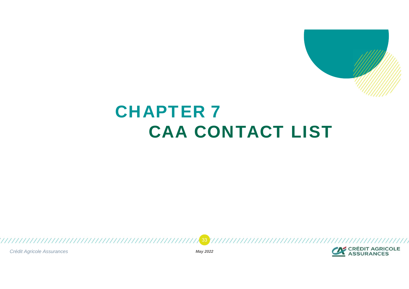

# **CHAPTER 7** CAA CONTACT LIST